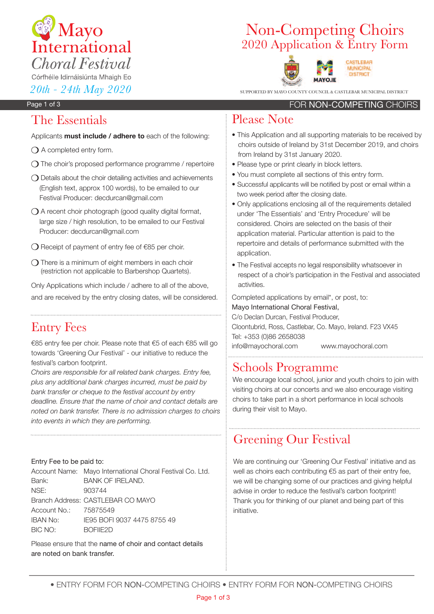

# 2020 Application & Entry Form Non-Competing Choirs



SUPPORTED BY MAYO COUNTY COUNCIL & CASTLEBAR MUNICIPAL DISTRICT

#### Page 1 of 3

### The Essentials

Applicants **must include / adhere to** each of the following:

- $\bigcirc$  A completed entry form.
- $\bigcirc$  The choir's proposed performance programme / repertoire
- $\bigcirc$  Details about the choir detailing activities and achievements (English text, approx 100 words), to be emailed to our Festival Producer: decdurcan@gmail.com
- $\bigcirc$  A recent choir photograph (good quality digital format, large size / high resolution, to be emailed to our Festival Producer: decdurcan@gmail.com
- $\bigcirc$  Receipt of payment of entry fee of  $\epsilon$ 85 per choir.
- $\bigcirc$  There is a minimum of eight members in each choir (restriction not applicable to Barbershop Quartets).

Only Applications which include / adhere to all of the above, and are received by the entry closing dates, will be considered.

## Entry Fees

€85 entry fee per choir. Please note that €5 of each €85 will go towards 'Greening Our Festival' - our initiative to reduce the festival's carbon footprint.

*Choirs are responsible for all related bank charges. Entry fee, plus any additional bank charges incurred, must be paid by bank transfer or cheque to the festival account by entry deadline. Ensure that the name of choir and contact details are noted on bank transfer. There is no admission charges to choirs into events in which they are performing.*

#### Entry Fee to be paid to:

Account Name: Mayo International Choral Festival Co. Ltd. Bank: BANK OF IRELAND. NSE: 903744 Branch Address: CASTLEBAR CO MAYO Account No.: 75875549 IBAN No: IE95 BOFI 9037 4475 8755 49 BIC NO: BOFIIE2D

Please ensure that the name of choir and contact details are noted on bank transfer.

### FOR NON-COMPETING CHOIRS

### Please Note

- This Application and all supporting materials to be received by choirs outside of Ireland by 31st December 2019, and choirs from Ireland by 31st January 2020.
- Please type or print clearly in block letters.
- You must complete all sections of this entry form.
- Successful applicants will be notified by post or email within a two week period after the closing date.
- Only applications enclosing all of the requirements detailed under 'The Essentials' and 'Entry Procedure' will be considered. Choirs are selected on the basis of their application material. Particular attention is paid to the repertoire and details of performance submitted with the application.
- The Festival accepts no legal responsibility whatsoever in respect of a choir's participation in the Festival and associated activities.

Completed applications by email\*, or post, to: Mayo International Choral Festival, C/o Declan Durcan, Festival Producer, Cloontubrid, Ross, Castlebar, Co. Mayo, Ireland. F23 VX45 Tel: +353 (0)86 2658038

info@mayochoral.com www.mayochoral.com

## Schools Programme

We encourage local school, junior and youth choirs to join with visiting choirs at our concerts and we also encourage visiting choirs to take part in a short performance in local schools during their visit to Mayo.

## Greening Our Festival

We are continuing our 'Greening Our Festival' initiative and as well as choirs each contributing €5 as part of their entry fee, we will be changing some of our practices and giving helpful advise in order to reduce the festival's carbon footprint! Thank you for thinking of our planet and being part of this initiative.

• ENTRY FORM FOR NON-COMPETING ChOIRS • ENTRY FORM FOR NON-COMPETING ChOIRS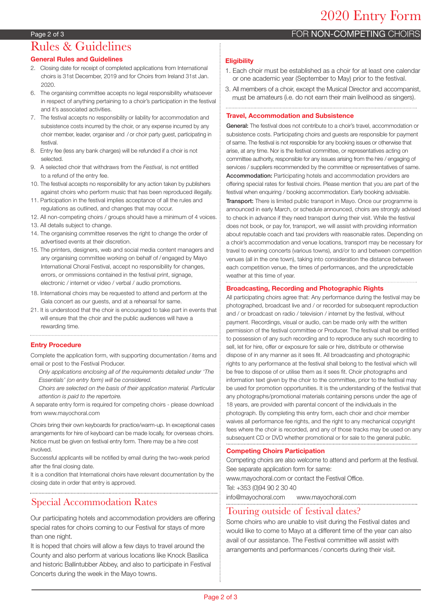FOR NON-COMPETING CHOIRS

#### Page 2 of 3

## Rules & Guidelines

#### **General Rules and Guidelines**

- 2. Closing date for receipt of completed applications from International choirs is 31st December, 2019 and for Choirs from Ireland 31st Jan. 2020.
- 6. The organising committee accepts no legal responsibility whatsoever in respect of anything pertaining to a choir's participation in the festival and it's associated activities.
- 7. The festival accepts no responsibility or liability for accommodation and subsistence costs incurred by the choir, or any expense incurred by any choir member, leader, organiser and / or choir party guest, participating in festival.
- 8. Entry fee (less any bank charges) will be refunded if a choir is not selected.
- 9. A selected choir that withdraws from the *Festival*, is not entitled to a refund of the entry fee.
- 10. The festival accepts no responsibility for any action taken by publishers against choirs who perform music that has been reproduced illegally.
- 11. Participation in the festival implies acceptance of all the rules and regulations as outlined, and changes that may occur.
- 12. All non-competing choirs / groups should have a minimum of 4 voices.
- 13. All details subject to change.
- 14. The organising committee reserves the right to change the order of advertised events at their discretion.
- 15. The printers, designers, web and social media content managers and any organising committee working on behalf of / engaged by Mayo International Choral Festival, accept no responsibility for changes, errors, or ommissions contained in the festival print, signage, electronic / internet or video / verbal / audio promotions.
- 18. International choirs may be requested to attend and perform at the Gala concert as our guests, and at a rehearsal for same.
- 21. It is understood that the choir is encouraged to take part in events that will ensure that the choir and the public audiences will have a rewarding time.

#### **Entry Procedure**

Complete the application form, with supporting documentation / items and email or post to the Festival Producer.

*Only applications enclosing all of the requirements detailed under 'The Essentials' (on entry form) will be considered.*

*Choirs are selected on the basis of their application material. Particular attention is paid to the repertoire.*

A separate entry form is required for competing choirs - please download from www.mayochoral.com

Choirs bring their own keyboards for practice/warm-up. In exceptional cases arrangements for hire of keyboard can be made locally, for overseas choirs. Notice must be given on festival entry form. There may be a hire cost involved.

Successful applicants will be notified by email during the two-week period after the final closing date.

It is a condition that International choirs have relevant documentation by the closing date in order that entry is approved.

### Special Accommodation Rates

Our participating hotels and accommodation providers are offering special rates for choirs coming to our Festival for stays of more than one night.

It is hoped that choirs will allow a few days to travel around the County and also perform at various locations like Knock Basilica and historic Ballintubber Abbey, and also to participate in Festival Concerts during the week in the Mayo towns.

#### **Eligibility**

- 1. Each choir must be established as a choir for at least one calendar or one academic year (September to May) prior to the festival.
- 3. All members of a choir, except the Musical Director and accompanist, must be amateurs (i.e. do not earn their main livelihood as singers).

#### **Travel, Accommodation and Subsistence**

General: The festival does not contribute to a choir's travel, accommodation or subsistence costs. Participating choirs and guests are responsible for payment of same. The festival is not responsible for any booking issues or otherwise that arise, at any time. Nor is the festival committee, or representatives acting on committee authority, responsible for any issues arising from the hire / engaging of services / suppliers recommended by the committee or representatives of same. Accommodation: Participating hotels and accommodation providers are offering special rates for festival choirs. Please mention that you are part of the festival when enquiring / booking accommodation. Early booking advisable.

**Transport:** There is limited public transport in Mayo. Once our programme is announced in early March, or schedule announced, choirs are strongly advised to check in advance if they need transport during their visit. While the festival does not book, or pay for, transport, we will assist with providing information about reputable coach and taxi providers with reasonable rates. Depending on a choir's accommodation and venue locations, transport may be necessary for travel to evening concerts (various towns), and/or to and between competition venues (all in the one town), taking into consideration the distance between each competition venue, the times of performances, and the unpredictable weather at this time of year.

#### **Broadcasting, Recording and Photographic Rights**

All participating choirs agree that: Any performance during the festival may be photographed, broadcast live and / or recorded for subsequent reproduction and / or broadcast on radio / television / internet by the festival, without payment. Recordings, visual or audio, can be made only with the written permission of the festival committee or Producer. The festival shall be entitled to possession of any such recording and to reproduce any such recording to sell, let for hire, offer or exposure for sale or hire, distribute or otherwise dispose of in any manner as it sees fit. All broadcasting and photographic rights to any performance at the festival shall belong to the festival which will be free to dispose of or utilise them as it sees fit. Choir photographs and information text given by the choir to the committee, prior to the festival may be used for promotion opportunities. It is the understanding of the festival that any photographs/promotional materials containing persons under the age of 18 years, are provided with parental concent of the individuals in the photograph. By completing this entry form, each choir and choir member waives all performance fee rights, and the right to any mechanical copyright fees where the choir is recorded, and any of those tracks may be used on any subsequent CD or DVD whether promotional or for sale to the general public.

#### **Competing Choirs Participation**

Competing choirs are also welcome to attend and perform at the festival. See separate application form for same:

www.mayochoral.com or contact the Festival Office.

Tel: +353 (0)94 90 2 30 40

info@mayochoral.com www.mayochoral.com

#### Touring outside of festival dates?

Some choirs who are unable to visit during the Festival dates and would like to come to Mayo at a different time of the year can also avail of our assistance. The Festival committee will assist with arrangements and performances / concerts during their visit.